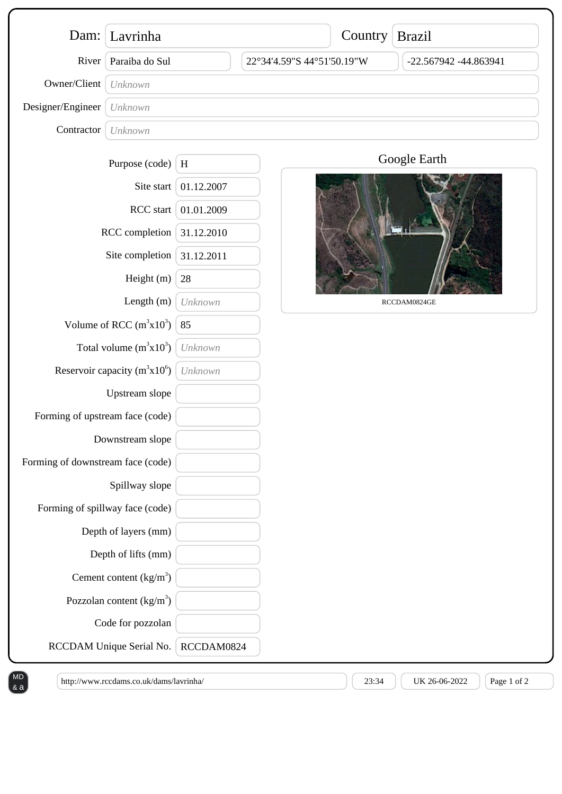|                                                                            | Dam: Lavrinha                     |            |                            | Country Brazil |                       |
|----------------------------------------------------------------------------|-----------------------------------|------------|----------------------------|----------------|-----------------------|
| River                                                                      | Paraiba do Sul                    |            | 22°34'4.59"S 44°51'50.19"W |                | -22.567942 -44.863941 |
| Owner/Client                                                               | Unknown                           |            |                            |                |                       |
| Designer/Engineer                                                          | Unknown                           |            |                            |                |                       |
| Contractor                                                                 | Unknown                           |            |                            |                |                       |
|                                                                            | Purpose (code)                    | $\,$ H     |                            |                | Google Earth          |
| Site start<br>RCC start<br>RCC completion<br>Site completion<br>Height (m) |                                   | 01.12.2007 |                            |                |                       |
|                                                                            |                                   | 01.01.2009 |                            |                |                       |
|                                                                            |                                   | 31.12.2010 |                            |                |                       |
|                                                                            |                                   | 31.12.2011 |                            |                |                       |
|                                                                            |                                   | 28         |                            |                |                       |
| Length (m)                                                                 |                                   | Unknown    |                            | RCCDAM0824GE   |                       |
| Volume of RCC $(m^3x10^3)$                                                 |                                   | 85         |                            |                |                       |
| Total volume $(m^3x10^3)$                                                  |                                   | Unknown    |                            |                |                       |
| Reservoir capacity $(m^3x10^6)$                                            |                                   | Unknown    |                            |                |                       |
| Upstream slope                                                             |                                   |            |                            |                |                       |
| Forming of upstream face (code)                                            |                                   |            |                            |                |                       |
| Downstream slope                                                           |                                   |            |                            |                |                       |
| Forming of downstream face (code)                                          |                                   |            |                            |                |                       |
| Spillway slope                                                             |                                   |            |                            |                |                       |
| Forming of spillway face (code)                                            |                                   |            |                            |                |                       |
|                                                                            | Depth of layers (mm)              |            |                            |                |                       |
|                                                                            | Depth of lifts (mm)               |            |                            |                |                       |
|                                                                            | Cement content $(kg/m3)$          |            |                            |                |                       |
|                                                                            | Pozzolan content $\frac{kg}{m^3}$ |            |                            |                |                       |
|                                                                            | Code for pozzolan                 |            |                            |                |                       |
| RCCDAM Unique Serial No.                                                   |                                   | RCCDAM0824 |                            |                |                       |

& a